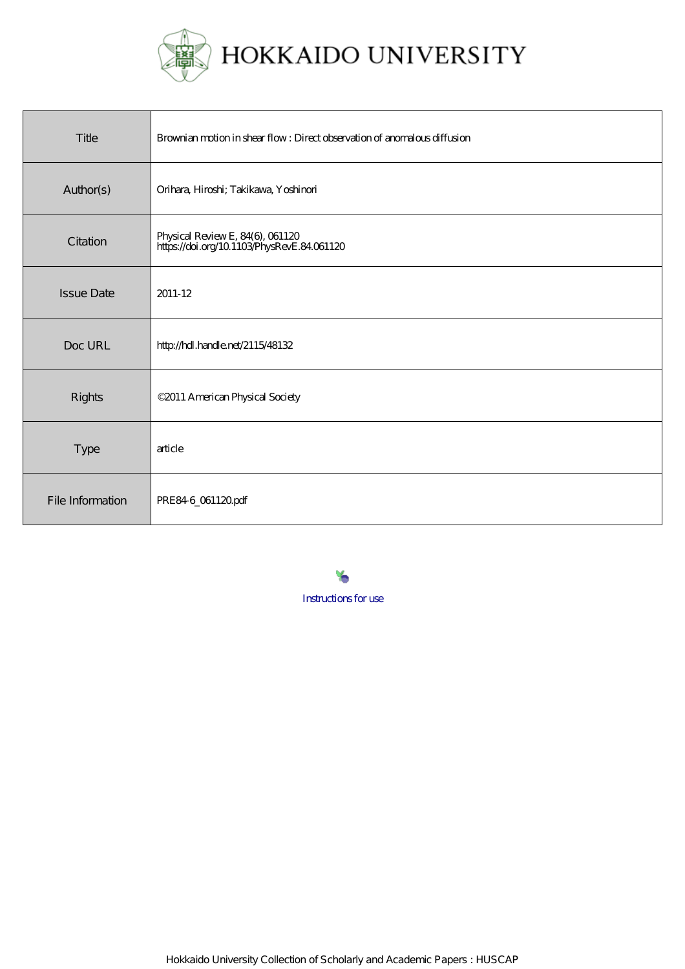

HOKKAIDO UNIVERSITY

| Title             | Brownian motion in shear flow: Direct observation of anomalous diffusion     |
|-------------------|------------------------------------------------------------------------------|
| Author(s)         | Orihara, Hiroshi; Takikawa, Yoshinori                                        |
| Citation          | Physical Review E, 84(6), 061120<br>https://doi.org/10.1103PhysRevE.84061120 |
| <b>Issue Date</b> | 2011-12                                                                      |
| Doc URL           | http://hdl.handle.net/2115/48132                                             |
| Rights            | ©2011 American Physical Society                                              |
| Type              | article                                                                      |
| File Information  | PRE846_061120pdf                                                             |

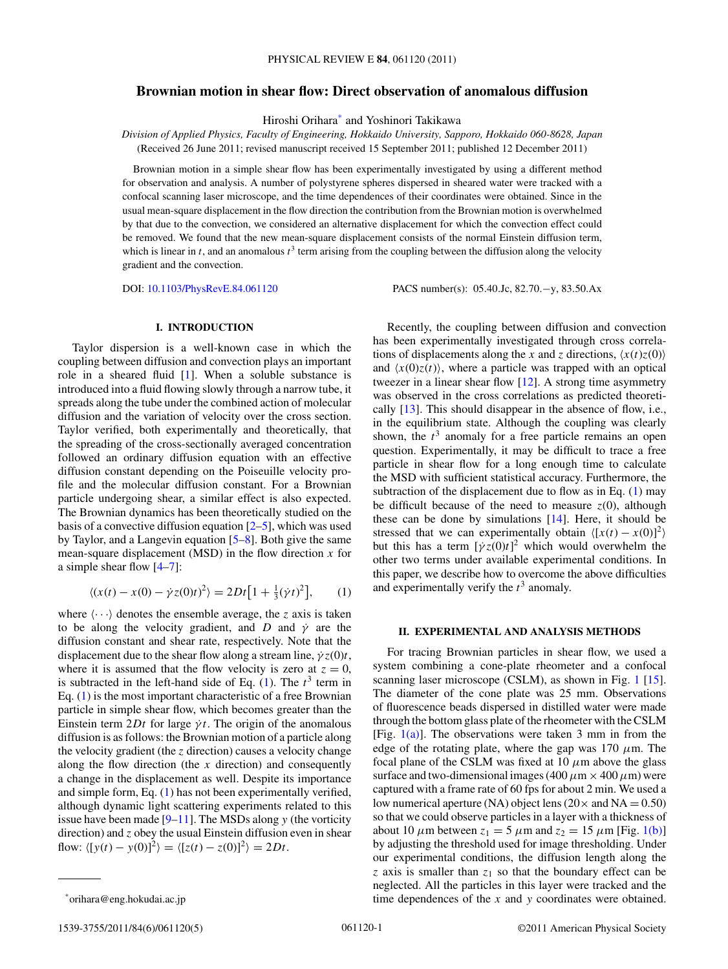# <span id="page-1-0"></span>**Brownian motion in shear flow: Direct observation of anomalous diffusion**

Hiroshi Orihara\* and Yoshinori Takikawa

*Division of Applied Physics, Faculty of Engineering, Hokkaido University, Sapporo, Hokkaido 060-8628, Japan* (Received 26 June 2011; revised manuscript received 15 September 2011; published 12 December 2011)

Brownian motion in a simple shear flow has been experimentally investigated by using a different method for observation and analysis. A number of polystyrene spheres dispersed in sheared water were tracked with a confocal scanning laser microscope, and the time dependences of their coordinates were obtained. Since in the usual mean-square displacement in the flow direction the contribution from the Brownian motion is overwhelmed by that due to the convection, we considered an alternative displacement for which the convection effect could be removed. We found that the new mean-square displacement consists of the normal Einstein diffusion term, which is linear in  $t$ , and an anomalous  $t^3$  term arising from the coupling between the diffusion along the velocity gradient and the convection.

DOI: [10.1103/PhysRevE.84.061120](http://dx.doi.org/10.1103/PhysRevE.84.061120) PACS number(s): 05*.*40*.*Jc, 82*.*70*.*−y, 83*.*50*.*Ax

## **I. INTRODUCTION**

Taylor dispersion is a well-known case in which the coupling between diffusion and convection plays an important role in a sheared fluid [\[1\]](#page-4-0). When a soluble substance is introduced into a fluid flowing slowly through a narrow tube, it spreads along the tube under the combined action of molecular diffusion and the variation of velocity over the cross section. Taylor verified, both experimentally and theoretically, that the spreading of the cross-sectionally averaged concentration followed an ordinary diffusion equation with an effective diffusion constant depending on the Poiseuille velocity profile and the molecular diffusion constant. For a Brownian particle undergoing shear, a similar effect is also expected. The Brownian dynamics has been theoretically studied on the basis of a convective diffusion equation  $[2-5]$ , which was used by Taylor, and a Langevin equation [\[5](#page-4-0)[–8\]](#page-5-0). Both give the same mean-square displacement (MSD) in the flow direction *x* for a simple shear flow  $[4-7]$  $[4-7]$ :

$$
\langle (x(t) - x(0) - \dot{\gamma}z(0)t)^2 \rangle = 2Dt\big[1 + \frac{1}{3}(\dot{\gamma}t)^2\big],\qquad(1)
$$

where  $\langle \cdots \rangle$  denotes the ensemble average, the *z* axis is taken to be along the velocity gradient, and *D* and  $\dot{\gamma}$  are the diffusion constant and shear rate, respectively. Note that the displacement due to the shear flow along a stream line,  $\dot{\gamma}z(0)t$ , where it is assumed that the flow velocity is zero at  $z = 0$ , is subtracted in the left-hand side of Eq.  $(1)$ . The  $t<sup>3</sup>$  term in Eq. (1) is the most important characteristic of a free Brownian particle in simple shear flow, which becomes greater than the Einstein term  $2Dt$  for large  $\dot{\gamma}t$ . The origin of the anomalous diffusion is as follows: the Brownian motion of a particle along the velocity gradient (the *z* direction) causes a velocity change along the flow direction (the *x* direction) and consequently a change in the displacement as well. Despite its importance and simple form, Eq. (1) has not been experimentally verified, although dynamic light scattering experiments related to this issue have been made [\[9–11\]](#page-5-0). The MSDs along *y* (the vorticity direction) and *z* obey the usual Einstein diffusion even in shear flow:  $\langle [y(t) - y(0)]^2 \rangle = \langle [z(t) - z(0)]^2 \rangle = 2Dt$ .

1539-3755/2011/84(6)/061120(5) ©2011 American Physical Society 061120-1

Recently, the coupling between diffusion and convection has been experimentally investigated through cross correlations of displacements along the *x* and *z* directions,  $\langle x(t)z(0) \rangle$ and  $\langle x(0)z(t) \rangle$ , where a particle was trapped with an optical tweezer in a linear shear flow [\[12\]](#page-5-0). A strong time asymmetry was observed in the cross correlations as predicted theoretically [\[13\]](#page-5-0). This should disappear in the absence of flow, i.e., in the equilibrium state. Although the coupling was clearly shown, the  $t<sup>3</sup>$  anomaly for a free particle remains an open question. Experimentally, it may be difficult to trace a free particle in shear flow for a long enough time to calculate the MSD with sufficient statistical accuracy. Furthermore, the subtraction of the displacement due to flow as in Eq. (1) may be difficult because of the need to measure  $z(0)$ , although these can be done by simulations  $[14]$ . Here, it should be stressed that we can experimentally obtain  $\langle [x(t) - x(0)]^2 \rangle$ but this has a term  $[\dot{\gamma}z(0)t]^2$  which would overwhelm the other two terms under available experimental conditions. In this paper, we describe how to overcome the above difficulties and experimentally verify the  $t^3$  anomaly.

### **II. EXPERIMENTAL AND ANALYSIS METHODS**

For tracing Brownian particles in shear flow, we used a system combining a cone-plate rheometer and a confocal scanning laser microscope (CSLM), as shown in Fig. [1](#page-2-0) [\[15\]](#page-5-0). The diameter of the cone plate was 25 mm. Observations of fluorescence beads dispersed in distilled water were made through the bottom glass plate of the rheometer with the CSLM [Fig.  $1(a)$ ]. The observations were taken 3 mm in from the edge of the rotating plate, where the gap was 170 *μ*m. The focal plane of the CSLM was fixed at  $10 \mu m$  above the glass surface and two-dimensional images (400  $\mu$ m  $\times$  400  $\mu$ m) were captured with a frame rate of 60 fps for about 2 min. We used a low numerical aperture (NA) object lens ( $20 \times$  and NA = 0.50) so that we could observe particles in a layer with a thickness of about 10  $\mu$ m between  $z_1 = 5 \mu$ m and  $z_2 = 15 \mu$ m [Fig. [1\(b\)\]](#page-2-0) by adjusting the threshold used for image thresholding. Under our experimental conditions, the diffusion length along the  $\zeta$  axis is smaller than  $\zeta_1$  so that the boundary effect can be neglected. All the particles in this layer were tracked and the time dependences of the *x* and *y* coordinates were obtained.

<sup>\*</sup>orihara@eng.hokudai.ac.jp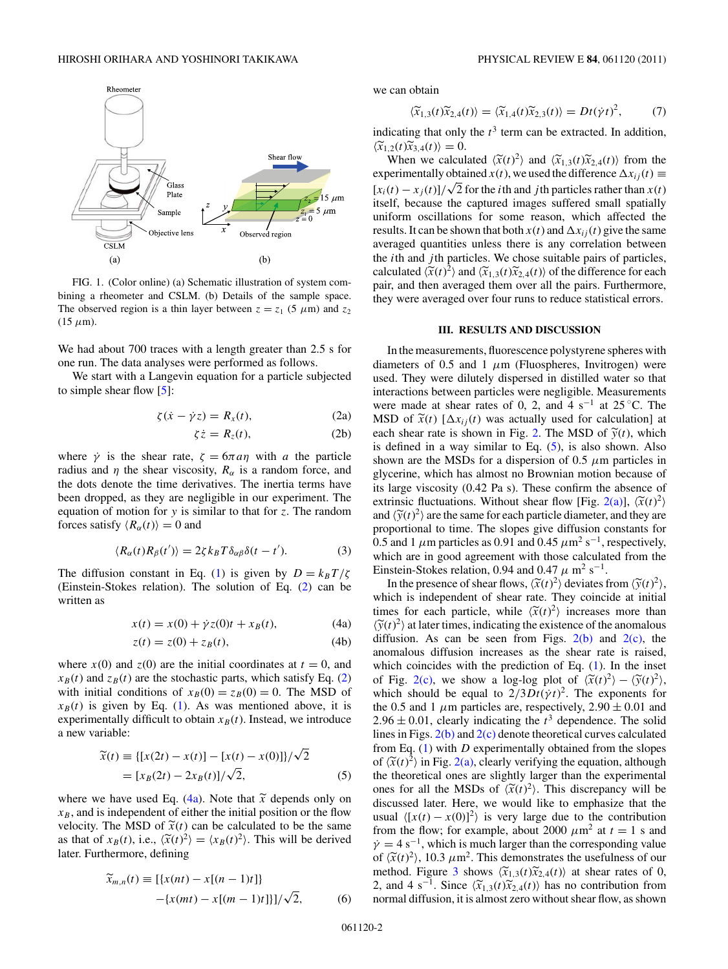<span id="page-2-0"></span>

FIG. 1. (Color online) (a) Schematic illustration of system combining a rheometer and CSLM. (b) Details of the sample space. The observed region is a thin layer between  $z = z_1$  (5  $\mu$ m) and  $z_2$  $(15 \mu m)$ .

We had about 700 traces with a length greater than 2.5 s for one run. The data analyses were performed as follows.

We start with a Langevin equation for a particle subjected to simple shear flow  $[5]$ :

$$
\zeta(\dot{x} - \dot{\gamma}z) = R_x(t), \tag{2a}
$$

$$
\zeta \dot{z} = R_z(t),\tag{2b}
$$

where  $\dot{\gamma}$  is the shear rate,  $\zeta = 6\pi a\eta$  with *a* the particle radius and  $\eta$  the shear viscosity,  $R_{\alpha}$  is a random force, and the dots denote the time derivatives. The inertia terms have been dropped, as they are negligible in our experiment. The equation of motion for *y* is similar to that for *z*. The random forces satisfy  $\langle R_{\alpha}(t) \rangle = 0$  and

$$
\langle R_{\alpha}(t)R_{\beta}(t')\rangle = 2\zeta k_B T \delta_{\alpha\beta}\delta(t-t'). \tag{3}
$$

The diffusion constant in Eq. [\(1\)](#page-1-0) is given by  $D = k_B T/\zeta$ (Einstein-Stokes relation). The solution of Eq. (2) can be written as

$$
x(t) = x(0) + \dot{\gamma}z(0)t + x_B(t),
$$
 (4a)

$$
z(t) = z(0) + z_B(t), \tag{4b}
$$

where  $x(0)$  and  $z(0)$  are the initial coordinates at  $t = 0$ , and  $x_B(t)$  and  $z_B(t)$  are the stochastic parts, which satisfy Eq. (2) with initial conditions of  $x_B(0) = z_B(0) = 0$ . The MSD of  $x_B(t)$  is given by Eq. [\(1\)](#page-1-0). As was mentioned above, it is experimentally difficult to obtain  $x_B(t)$ . Instead, we introduce a new variable:

$$
\widetilde{x}(t) \equiv \{ [x(2t) - x(t)] - [x(t) - x(0)] \} / \sqrt{2}
$$
  
=  $[x_B(2t) - 2x_B(t)] / \sqrt{2}$ , (5)

where we have used Eq. (4a). Note that  $\tilde{x}$  depends only on  $x_B$ , and is independent of either the initial position or the flow velocity. The MSD of  $\tilde{x}(t)$  can be calculated to be the same as that of  $x_B(t)$ , i.e.,  $\langle \tilde{x}(t)^2 \rangle = \langle x_B(t)^2 \rangle$ . This will be derived later. Furthermore, defining

$$
\widetilde{x}_{m,n}(t) \equiv [\{x(nt) - x[(n-1)t]\}] \n-[x(mt) - x[(m-1)t]\}]/\sqrt{2},
$$
\n(6)

we can obtain

$$
\langle \widetilde{x}_{1,3}(t)\widetilde{x}_{2,4}(t)\rangle = \langle \widetilde{x}_{1,4}(t)\widetilde{x}_{2,3}(t)\rangle = Dt(\dot{\gamma}t)^2,\tag{7}
$$

indicating that only the  $t^3$  term can be extracted. In addition,  $\langle \widetilde{x}_{1,2}(t)\widetilde{x}_{3,4}(t) \rangle = 0.$ <br>When we calcul

When we calculated  $\langle \tilde{x}(t)^2 \rangle$  and  $\langle \tilde{x}_{1,3}(t) \tilde{x}_{2,4}(t) \rangle$  from the experimentally obtained *x*(*t*), we used the difference  $\Delta x_{ij}(t) \equiv$  $[x_i(t) - x_j(t)]/\sqrt{2}$  for the *i*th and *j*th particles rather than  $x(t)$ itself, because the captured images suffered small spatially uniform oscillations for some reason, which affected the results. It can be shown that both  $x(t)$  and  $\Delta x_{ij}(t)$  give the same averaged quantities unless there is any correlation between the *i*th and *j* th particles. We chose suitable pairs of particles, calculated  $\langle \tilde{x}(t)^2 \rangle$  and  $\langle \tilde{x}_{1,3}(t) \tilde{x}_{2,4}(t) \rangle$  of the difference for each pair, and then averaged them over all the pairs. Furthermore, they were averaged over four runs to reduce statistical errors.

### **III. RESULTS AND DISCUSSION**

In the measurements, fluorescence polystyrene spheres with diameters of 0.5 and 1  $\mu$ m (Fluospheres, Invitrogen) were used. They were dilutely dispersed in distilled water so that interactions between particles were negligible. Measurements were made at shear rates of 0, 2, and 4 s<sup>-1</sup> at 25 °C. The MSD of  $\widetilde{x}(t)$   $[\Delta x_{ij}(t)$  was actually used for calculation] at each shear rate is shown in Fig. [2.](#page-3-0) The MSD of  $\tilde{y}(t)$ , which is defined in a way similar to Eq.  $(5)$ , is also shown. Also shown are the MSDs for a dispersion of 0.5  $\mu$ m particles in glycerine, which has almost no Brownian motion because of its large viscosity (0.42 Pa s). These confirm the absence of extrinsic fluctuations. Without shear flow [Fig. [2\(a\)\]](#page-3-0),  $\langle \tilde{\chi}(t)^2 \rangle$ and  $\langle \tilde{y}(t)^2 \rangle$  are the same for each particle diameter, and they are proportional to time. The slopes give diffusion constants for 0.5 and 1  $\mu$ m particles as 0.91 and 0.45  $\mu$ m<sup>2</sup> s<sup>-1</sup>, respectively, which are in good agreement with those calculated from the Einstein-Stokes relation, 0.94 and 0.47  $\mu$  m<sup>2</sup> s<sup>-1</sup>.

In the presence of shear flows,  $\langle \tilde{x}(t)^2 \rangle$  deviates from  $\langle \tilde{y}(t)^2 \rangle$ , i.e. independent of shear ante. These eximals at initial which is independent of shear rate. They coincide at initial times for each particle, while  $\langle \tilde{x}(t)^2 \rangle$  increases more than  $\langle \tilde{y}(t)^2 \rangle$  at later times, indicating the existence of the anomalous diffusion. As can be seen from Figs.  $2(b)$  and  $2(c)$ , the anomalous diffusion increases as the shear rate is raised, which coincides with the prediction of Eq. [\(1\)](#page-1-0). In the inset of Fig. [2\(c\),](#page-3-0) we show a log-log plot of  $\langle \tilde{x}(t)^2 \rangle - \langle \tilde{y}(t)^2 \rangle$ , which should be equal to  $2/3Dt(\dot{\gamma}t)^2$ . The exponents for the 0.5 and 1  $\mu$ m particles are, respectively, 2.90  $\pm$  0.01 and  $2.96 \pm 0.01$ , clearly indicating the  $t^3$  dependence. The solid lines in Figs.  $2(b)$  and  $2(c)$  denote theoretical curves calculated from Eq. [\(1\)](#page-1-0) with *D* experimentally obtained from the slopes of  $\langle \tilde{x}(t)^2 \rangle$  in Fig. [2\(a\),](#page-3-0) clearly verifying the equation, although the theoretical ones are slightly larger than the experimental ones for all the MSDs of  $\langle \tilde{x}(t)^2 \rangle$ . This discrepancy will be<br>discrepancy will be expected. discussed later. Here, we would like to emphasize that the usual  $\langle [x(t) - x(0)]^2 \rangle$  is very large due to the contribution from the flow; for example, about 2000  $\mu$ m<sup>2</sup> at  $t = 1$  s and  $\dot{\gamma} = 4 \,\mathrm{s}^{-1}$ , which is much larger than the corresponding value of  $\langle \tilde{x}(t)^2 \rangle$ , 10.3  $\mu$ m<sup>2</sup>. This demonstrates the usefulness of our mother Eigens 2, then  $\langle \tilde{x}^2 \rangle$  (c)) at the useful and  $\tilde{y}$ method. Figure [3](#page-3-0) shows  $\langle \widetilde{x}_{1,3}(t) \widetilde{x}_{2,4}(t) \rangle$  at shear rates of 0, 2, and 4 s<sup>-1</sup>. Since  $\langle \tilde{x}_{1,3}(t)\tilde{x}_{2,4}(t) \rangle$  has no contribution from normal diffusion, it is almost zero without shear flow, as shown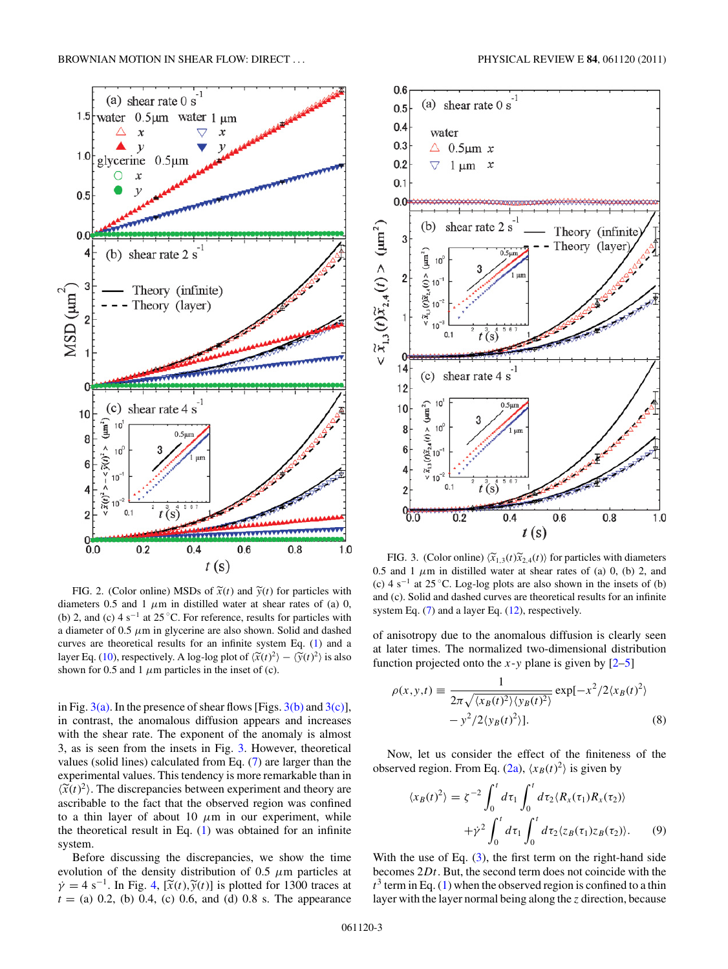<span id="page-3-0"></span>

FIG. 2. (Color online) MSDs of  $\tilde{x}(t)$  and  $\tilde{y}(t)$  for particles with diameters  $0.5$  and  $1 \mu m$  in distilled water at shear rates of (a) 0, (b) 2, and (c)  $4 \text{ s}^{-1}$  at  $25^{\circ}$ C. For reference, results for particles with a diameter of 0.5 *μ*m in glycerine are also shown. Solid and dashed curves are theoretical results for an infinite system Eq. [\(1\)](#page-1-0) and a layer Eq. [\(10\)](#page-4-0), respectively. A log-log plot of  $\langle \tilde{x}(t)^2 \rangle - \langle \tilde{y}(t)^2 \rangle$  is also shown for 0.5 and 1  $\mu$ m particles in the inset of (c).

 $0.4$ 

 $0.0 0$ 

 $0.2$ 

\*\*\*\*\*\*\*\*\*\*\*\*\*

 $t(s)$ 

 $0.6$ 

 $0.8$ 

 $1.0$ 

in Fig.  $3(a)$ . In the presence of shear flows [Figs.  $3(b)$  and  $3(c)$ ], in contrast, the anomalous diffusion appears and increases with the shear rate. The exponent of the anomaly is almost 3, as is seen from the insets in Fig. 3. However, theoretical values (solid lines) calculated from Eq. [\(7\)](#page-2-0) are larger than the experimental values. This tendency is more remarkable than in  $\langle \tilde{x}(t)^2 \rangle$ . The discrepancies between experiment and theory are ascribable to the fact that the observed region was confined to a thin layer of about 10  $\mu$ m in our experiment, while the theoretical result in Eq. [\(1\)](#page-1-0) was obtained for an infinite system.

Before discussing the discrepancies, we show the time evolution of the density distribution of 0.5 *μ*m particles at  $\dot{\gamma} = 4 \text{ s}^{-1}$ . In Fig. [4,](#page-4-0)  $[\tilde{x}(t), \tilde{y}(t)]$  is plotted for 1300 traces at  $t =$  (a) 0.2, (b) 0.4, (c) 0.6, and (d) 0.8 s. The appearance



FIG. 3. (Color online)  $\langle \tilde{x}_{1,3}(t)\tilde{x}_{2,4}(t) \rangle$  for particles with diameters 0.5 and 1  $\mu$ m in distilled water at shear rates of (a) 0, (b) 2, and (c) 4 s<sup>-1</sup> at 25 °C. Log-log plots are also shown in the insets of (b) and (c). Solid and dashed curves are theoretical results for an infinite system Eq.  $(7)$  and a layer Eq.  $(12)$ , respectively.

of anisotropy due to the anomalous diffusion is clearly seen at later times. The normalized two-dimensional distribution function projected onto the  $x$ - $y$  plane is given by  $[2-5]$ 

$$
\rho(x, y, t) \equiv \frac{1}{2\pi \sqrt{\langle x_B(t)^2 \rangle \langle y_B(t)^2 \rangle}} \exp[-x^2/2 \langle x_B(t)^2 \rangle - y^2/2 \langle y_B(t)^2 \rangle].
$$
\n(8)

Now, let us consider the effect of the finiteness of the observed region. From Eq. [\(2a\)](#page-2-0),  $\langle x_B(t)^2 \rangle$  is given by

$$
\langle x_B(t)^2 \rangle = \zeta^{-2} \int_0^t d\tau_1 \int_0^t d\tau_2 \langle R_x(\tau_1) R_x(\tau_2) \rangle
$$

$$
+ \dot{\gamma}^2 \int_0^t d\tau_1 \int_0^t d\tau_2 \langle z_B(\tau_1) z_B(\tau_2) \rangle. \tag{9}
$$

With the use of Eq.  $(3)$ , the first term on the right-hand side becomes 2*Dt*. But, the second term does not coincide with the  $t^3$  term in Eq. [\(1\)](#page-1-0) when the observed region is confined to a thin layer with the layer normal being along the *z* direction, because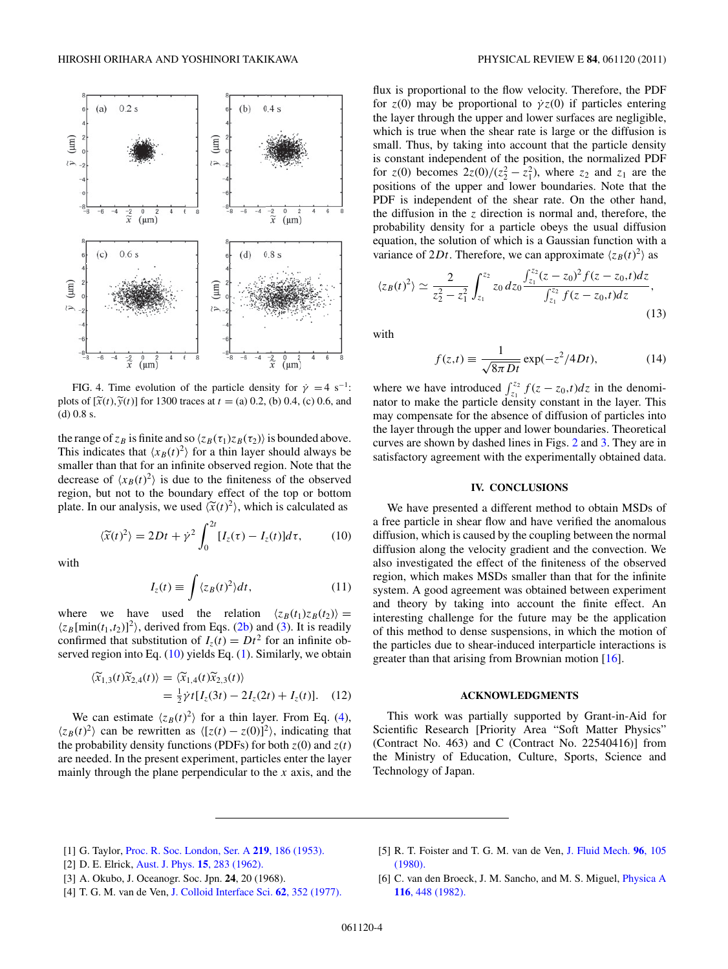<span id="page-4-0"></span>

FIG. 4. Time evolution of the particle density for  $\dot{\gamma} = 4 \text{ s}^{-1}$ : plots of  $[\tilde{x}(t), \tilde{y}(t)]$  for 1300 traces at  $t = (a) 0.2$ , (b) 0.4, (c) 0.6, and (d) 0.8 s.

the range of  $z_B$  is finite and so  $\langle z_B(\tau_1)z_B(\tau_2) \rangle$  is bounded above. This indicates that  $\langle x_B(t)^2 \rangle$  for a thin layer should always be smaller than that for an infinite observed region. Note that the decrease of  $\langle x_B(t)^2 \rangle$  is due to the finiteness of the observed region, but not to the boundary effect of the top or bottom plate. In our analysis, we used  $\langle \tilde{x}(t)^2 \rangle$ , which is calculated as

 $\langle \widetilde{x}(t)^2 \rangle = 2Dt + \dot{\gamma}^2 \int_0^{2t}$ 

with

$$
I_z(t) \equiv \int \langle z_B(t)^2 \rangle dt, \qquad (11)
$$

 $\int_{0}^{1} [I_{z}(\tau) - I_{z}(t)] d\tau,$  (10)

where we have used the relation  $\langle z_B(t_1)z_B(t_2) \rangle =$  $\langle z_B[\text{min}(t_1, t_2)]^2 \rangle$ , derived from Eqs. [\(2b\)](#page-2-0) and [\(3\)](#page-2-0). It is readily confirmed that substitution of  $I_z(t) = Dt^2$  for an infinite observed region into Eq.  $(10)$  yields Eq.  $(1)$ . Similarly, we obtain

$$
\langle \widetilde{x}_{1,3}(t)\widetilde{x}_{2,4}(t)\rangle = \langle \widetilde{x}_{1,4}(t)\widetilde{x}_{2,3}(t)\rangle
$$
  
=  $\frac{1}{2}\dot{\gamma}t[I_z(3t) - 2I_z(2t) + I_z(t)].$  (12)

We can estimate  $\langle z_B(t)^2 \rangle$  for a thin layer. From Eq. (4),  $\langle z_B(t)^2 \rangle$  can be rewritten as  $\langle [z(t) - z(0)]^2 \rangle$ , indicating that the probability density functions (PDFs) for both  $z(0)$  and  $z(t)$ are needed. In the present experiment, particles enter the layer mainly through the plane perpendicular to the *x* axis, and the

flux is proportional to the flow velocity. Therefore, the PDF for  $z(0)$  may be proportional to  $\dot{\gamma}z(0)$  if particles entering the layer through the upper and lower surfaces are negligible, which is true when the shear rate is large or the diffusion is small. Thus, by taking into account that the particle density is constant independent of the position, the normalized PDF for  $z(0)$  becomes  $2z(0)/(z_2^2 - z_1^2)$ , where  $z_2$  and  $z_1$  are the positions of the upper and lower boundaries. Note that the PDF is independent of the shear rate. On the other hand, the diffusion in the *z* direction is normal and, therefore, the probability density for a particle obeys the usual diffusion equation, the solution of which is a Gaussian function with a variance of 2*Dt*. Therefore, we can approximate  $\langle z_B(t)^2 \rangle$  as

$$
\langle z_B(t)^2 \rangle \simeq \frac{2}{z_2^2 - z_1^2} \int_{z_1}^{z_2} z_0 dz_0 \frac{\int_{z_1}^{z_2} (z - z_0)^2 f(z - z_0, t) dz}{\int_{z_1}^{z_2} f(z - z_0, t) dz},
$$
\n(13)

with

$$
f(z,t) \equiv \frac{1}{\sqrt{8\pi Dt}} \exp(-z^2/4Dt),\tag{14}
$$

where we have introduced  $\int_{z_1}^{z_2} f(z - z_0, t) dz$  in the denominator to make the particle density constant in the layer. This may compensate for the absence of diffusion of particles into the layer through the upper and lower boundaries. Theoretical curves are shown by dashed lines in Figs. [2](#page-3-0) and [3.](#page-3-0) They are in satisfactory agreement with the experimentally obtained data.

#### **IV. CONCLUSIONS**

We have presented a different method to obtain MSDs of a free particle in shear flow and have verified the anomalous diffusion, which is caused by the coupling between the normal diffusion along the velocity gradient and the convection. We also investigated the effect of the finiteness of the observed region, which makes MSDs smaller than that for the infinite system. A good agreement was obtained between experiment and theory by taking into account the finite effect. An interesting challenge for the future may be the application of this method to dense suspensions, in which the motion of the particles due to shear-induced interparticle interactions is greater than that arising from Brownian motion [\[16\]](#page-5-0).

#### **ACKNOWLEDGMENTS**

This work was partially supported by Grant-in-Aid for Scientific Research [Priority Area "Soft Matter Physics" (Contract No. 463) and C (Contract No. 22540416)] from the Ministry of Education, Culture, Sports, Science and Technology of Japan.

- [1] G. Taylor, [Proc. R. Soc. London, Ser. A](http://dx.doi.org/10.1098/rspa.1953.0139) **219**, 186 (1953).
- [2] D. E. Elrick, [Aust. J. Phys.](http://dx.doi.org/10.1071/PH620283) **15**, 283 (1962).
- [3] A. Okubo, J. Oceanogr. Soc. Jpn. **24**, 20 (1968).
- [4] T. G. M. van de Ven, [J. Colloid Interface Sci.](http://dx.doi.org/10.1016/0021-9797(77)90131-X) **62**, 352 (1977).
- [5] R. T. Foister and T. G. M. van de Ven, [J. Fluid Mech.](http://dx.doi.org/10.1017/S0022112080002042) **96**, 105 [\(1980\).](http://dx.doi.org/10.1017/S0022112080002042)
- [6] C. van den Broeck, J. M. Sancho, and M. S. Miguel, [Physica A](http://dx.doi.org/10.1016/0378-4371(82)90170-4) **116**[, 448 \(1982\).](http://dx.doi.org/10.1016/0378-4371(82)90170-4)